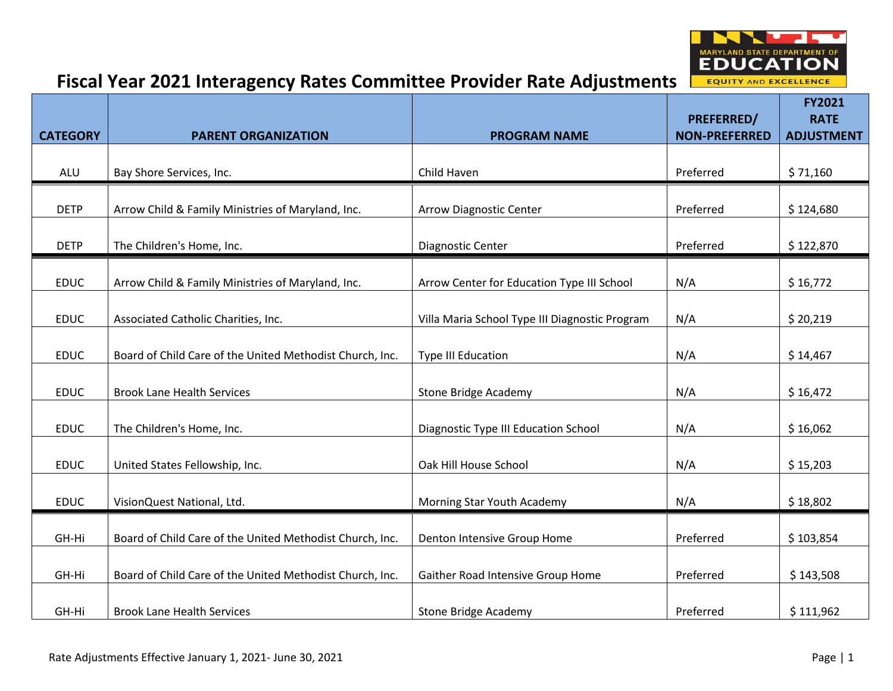

|                 |                                                          |                                                | PREFERRED/           | FY2021<br><b>RATE</b> |
|-----------------|----------------------------------------------------------|------------------------------------------------|----------------------|-----------------------|
| <b>CATEGORY</b> | <b>PARENT ORGANIZATION</b>                               | <b>PROGRAM NAME</b>                            | <b>NON-PREFERRED</b> | <b>ADJUSTMENT</b>     |
| <b>ALU</b>      | Bay Shore Services, Inc.                                 | Child Haven                                    | Preferred            | \$71,160              |
| <b>DETP</b>     | Arrow Child & Family Ministries of Maryland, Inc.        | <b>Arrow Diagnostic Center</b>                 | Preferred            | \$124,680             |
| <b>DETP</b>     | The Children's Home, Inc.                                | Diagnostic Center                              | Preferred            | \$122,870             |
| <b>EDUC</b>     | Arrow Child & Family Ministries of Maryland, Inc.        | Arrow Center for Education Type III School     | N/A                  | \$16,772              |
| <b>EDUC</b>     | Associated Catholic Charities, Inc.                      | Villa Maria School Type III Diagnostic Program | N/A                  | \$20,219              |
| <b>EDUC</b>     | Board of Child Care of the United Methodist Church, Inc. | <b>Type III Education</b>                      | N/A                  | \$14,467              |
| <b>EDUC</b>     | <b>Brook Lane Health Services</b>                        | <b>Stone Bridge Academy</b>                    | N/A                  | \$16,472              |
| <b>EDUC</b>     | The Children's Home, Inc.                                | Diagnostic Type III Education School           | N/A                  | \$16,062              |
| <b>EDUC</b>     | United States Fellowship, Inc.                           | Oak Hill House School                          | N/A                  | \$15,203              |
| <b>EDUC</b>     | VisionQuest National, Ltd.                               | Morning Star Youth Academy                     | N/A                  | \$18,802              |
| GH-Hi           | Board of Child Care of the United Methodist Church, Inc. | Denton Intensive Group Home                    | Preferred            | \$103,854             |
| GH-Hi           | Board of Child Care of the United Methodist Church, Inc. | Gaither Road Intensive Group Home              | Preferred            | \$143,508             |
| GH-Hi           | <b>Brook Lane Health Services</b>                        | <b>Stone Bridge Academy</b>                    | Preferred            | \$111,962             |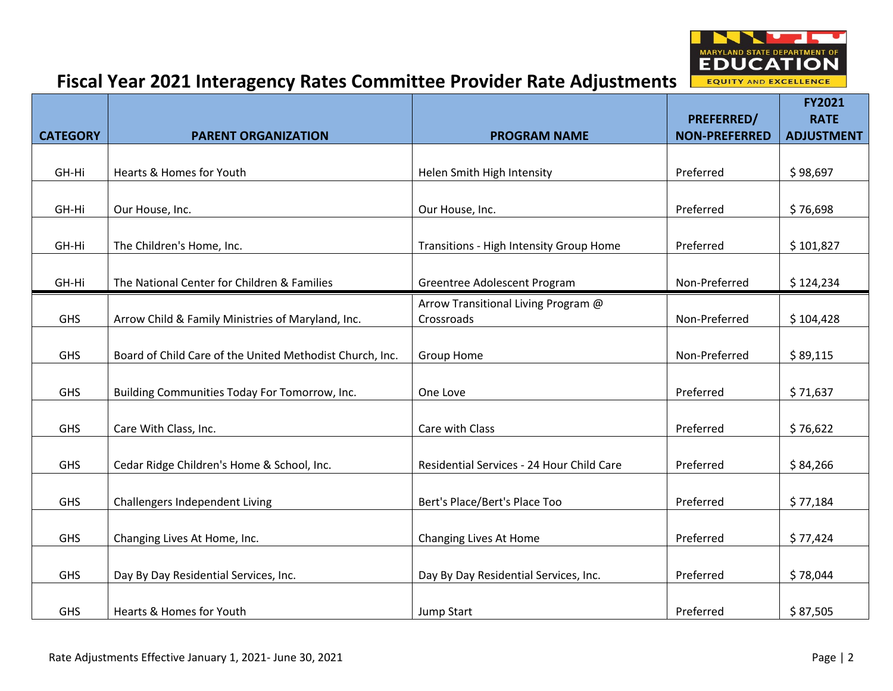

|                 |                                                          |                                           | <b>PREFERRED/</b>    | <b>FY2021</b><br><b>RATE</b> |
|-----------------|----------------------------------------------------------|-------------------------------------------|----------------------|------------------------------|
| <b>CATEGORY</b> | <b>PARENT ORGANIZATION</b>                               | <b>PROGRAM NAME</b>                       | <b>NON-PREFERRED</b> | <b>ADJUSTMENT</b>            |
|                 |                                                          |                                           |                      |                              |
| GH-Hi           | Hearts & Homes for Youth                                 | Helen Smith High Intensity                | Preferred            | \$98,697                     |
|                 |                                                          |                                           |                      |                              |
| GH-Hi           | Our House, Inc.                                          | Our House, Inc.                           | Preferred            | \$76,698                     |
|                 |                                                          |                                           |                      |                              |
| GH-Hi           | The Children's Home, Inc.                                | Transitions - High Intensity Group Home   | Preferred            | \$101,827                    |
| GH-Hi           | The National Center for Children & Families              | Greentree Adolescent Program              | Non-Preferred        | \$124,234                    |
|                 |                                                          | Arrow Transitional Living Program @       |                      |                              |
| <b>GHS</b>      | Arrow Child & Family Ministries of Maryland, Inc.        | Crossroads                                | Non-Preferred        | \$104,428                    |
|                 |                                                          |                                           |                      |                              |
| <b>GHS</b>      | Board of Child Care of the United Methodist Church, Inc. | <b>Group Home</b>                         | Non-Preferred        | \$89,115                     |
|                 |                                                          |                                           |                      |                              |
| <b>GHS</b>      | Building Communities Today For Tomorrow, Inc.            | One Love                                  | Preferred            | \$71,637                     |
|                 |                                                          |                                           |                      |                              |
| <b>GHS</b>      | Care With Class, Inc.                                    | Care with Class                           | Preferred            | \$76,622                     |
| <b>GHS</b>      | Cedar Ridge Children's Home & School, Inc.               | Residential Services - 24 Hour Child Care | Preferred            | \$84,266                     |
|                 |                                                          |                                           |                      |                              |
| <b>GHS</b>      | Challengers Independent Living                           | Bert's Place/Bert's Place Too             | Preferred            | \$77,184                     |
|                 |                                                          |                                           |                      |                              |
| <b>GHS</b>      | Changing Lives At Home, Inc.                             | Changing Lives At Home                    | Preferred            | \$77,424                     |
|                 |                                                          |                                           |                      |                              |
| <b>GHS</b>      | Day By Day Residential Services, Inc.                    | Day By Day Residential Services, Inc.     | Preferred            | \$78,044                     |
|                 |                                                          |                                           |                      |                              |
| <b>GHS</b>      | Hearts & Homes for Youth                                 | Jump Start                                | Preferred            | \$87,505                     |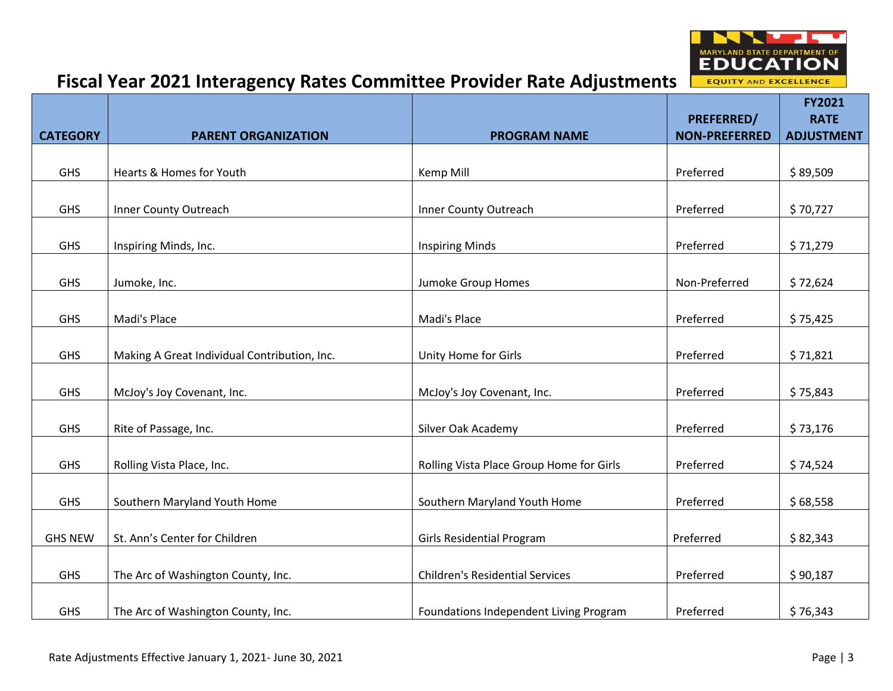

|                 |                                              |                                          |                                    | <b>FY2021</b>                    |
|-----------------|----------------------------------------------|------------------------------------------|------------------------------------|----------------------------------|
| <b>CATEGORY</b> | <b>PARENT ORGANIZATION</b>                   | <b>PROGRAM NAME</b>                      | PREFERRED/<br><b>NON-PREFERRED</b> | <b>RATE</b><br><b>ADJUSTMENT</b> |
|                 |                                              |                                          |                                    |                                  |
| GHS             | Hearts & Homes for Youth                     | Kemp Mill                                | Preferred                          | \$89,509                         |
|                 |                                              |                                          |                                    |                                  |
| <b>GHS</b>      | Inner County Outreach                        | Inner County Outreach                    | Preferred                          | \$70,727                         |
| GHS             | Inspiring Minds, Inc.                        | <b>Inspiring Minds</b>                   | Preferred                          | \$71,279                         |
| <b>GHS</b>      | Jumoke, Inc.                                 | Jumoke Group Homes                       | Non-Preferred                      | \$72,624                         |
|                 |                                              |                                          |                                    |                                  |
| <b>GHS</b>      | Madi's Place                                 | Madi's Place                             | Preferred                          | \$75,425                         |
| <b>GHS</b>      | Making A Great Individual Contribution, Inc. | Unity Home for Girls                     | Preferred                          | \$71,821                         |
|                 |                                              |                                          |                                    |                                  |
| <b>GHS</b>      | McJoy's Joy Covenant, Inc.                   | McJoy's Joy Covenant, Inc.               | Preferred                          | \$75,843                         |
|                 |                                              |                                          |                                    |                                  |
| <b>GHS</b>      | Rite of Passage, Inc.                        | Silver Oak Academy                       | Preferred                          | \$73,176                         |
| <b>GHS</b>      | Rolling Vista Place, Inc.                    | Rolling Vista Place Group Home for Girls | Preferred                          | \$74,524                         |
| <b>GHS</b>      | Southern Maryland Youth Home                 | Southern Maryland Youth Home             | Preferred                          | \$68,558                         |
|                 |                                              |                                          |                                    |                                  |
| <b>GHS NEW</b>  | St. Ann's Center for Children                | Girls Residential Program                | Preferred                          | \$82,343                         |
|                 |                                              |                                          |                                    |                                  |
| <b>GHS</b>      | The Arc of Washington County, Inc.           | <b>Children's Residential Services</b>   | Preferred                          | \$90,187                         |
| <b>GHS</b>      | The Arc of Washington County, Inc.           | Foundations Independent Living Program   | Preferred                          | \$76,343                         |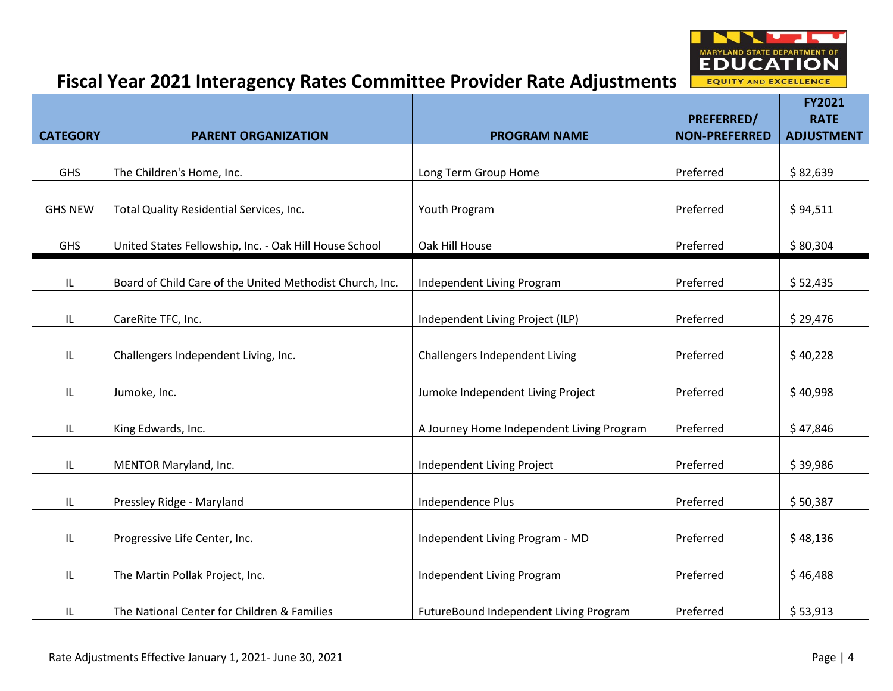

|                 |                                                          |                                           | PREFERRED/           | <b>FY2021</b><br><b>RATE</b> |
|-----------------|----------------------------------------------------------|-------------------------------------------|----------------------|------------------------------|
| <b>CATEGORY</b> | <b>PARENT ORGANIZATION</b>                               | <b>PROGRAM NAME</b>                       | <b>NON-PREFERRED</b> | <b>ADJUSTMENT</b>            |
| <b>GHS</b>      | The Children's Home, Inc.                                | Long Term Group Home                      | Preferred            | \$82,639                     |
| <b>GHS NEW</b>  | Total Quality Residential Services, Inc.                 | Youth Program                             | Preferred            | \$94,511                     |
| <b>GHS</b>      | United States Fellowship, Inc. - Oak Hill House School   | Oak Hill House                            | Preferred            | \$80,304                     |
| IL              | Board of Child Care of the United Methodist Church, Inc. | Independent Living Program                | Preferred            | \$52,435                     |
| IL              | CareRite TFC, Inc.                                       | Independent Living Project (ILP)          | Preferred            | \$29,476                     |
| IL              | Challengers Independent Living, Inc.                     | Challengers Independent Living            | Preferred            | \$40,228                     |
| IL              | Jumoke, Inc.                                             | Jumoke Independent Living Project         | Preferred            | \$40,998                     |
| IL              | King Edwards, Inc.                                       | A Journey Home Independent Living Program | Preferred            | \$47,846                     |
| IL              | MENTOR Maryland, Inc.                                    | Independent Living Project                | Preferred            | \$39,986                     |
| IL              | Pressley Ridge - Maryland                                | Independence Plus                         | Preferred            | \$50,387                     |
| IL              | Progressive Life Center, Inc.                            | Independent Living Program - MD           | Preferred            | \$48,136                     |
| IL              | The Martin Pollak Project, Inc.                          | Independent Living Program                | Preferred            | \$46,488                     |
| IL              | The National Center for Children & Families              | FutureBound Independent Living Program    | Preferred            | \$53,913                     |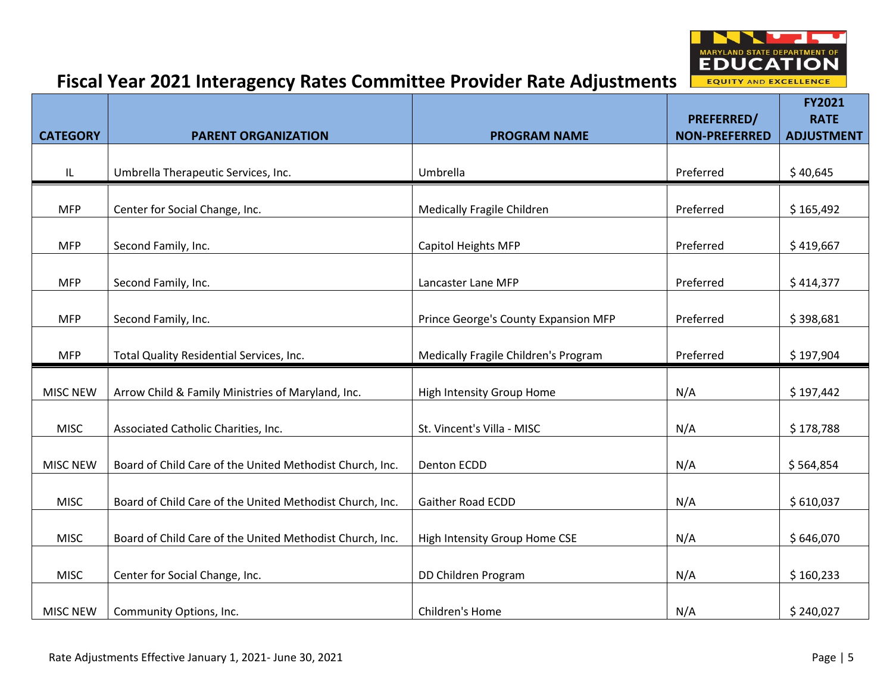

|                 |                                                          |                                      |                                    | FY2021                           |
|-----------------|----------------------------------------------------------|--------------------------------------|------------------------------------|----------------------------------|
| <b>CATEGORY</b> | <b>PARENT ORGANIZATION</b>                               | <b>PROGRAM NAME</b>                  | PREFERRED/<br><b>NON-PREFERRED</b> | <b>RATE</b><br><b>ADJUSTMENT</b> |
|                 |                                                          |                                      |                                    |                                  |
| L               | Umbrella Therapeutic Services, Inc.                      | Umbrella                             | Preferred                          | \$40,645                         |
| <b>MFP</b>      | Center for Social Change, Inc.                           | <b>Medically Fragile Children</b>    | Preferred                          | \$165,492                        |
|                 |                                                          |                                      |                                    |                                  |
| <b>MFP</b>      | Second Family, Inc.                                      | <b>Capitol Heights MFP</b>           | Preferred                          | \$419,667                        |
| <b>MFP</b>      | Second Family, Inc.                                      | Lancaster Lane MFP                   | Preferred                          | \$414,377                        |
|                 |                                                          |                                      |                                    |                                  |
| <b>MFP</b>      | Second Family, Inc.                                      | Prince George's County Expansion MFP | Preferred                          | \$398,681                        |
|                 |                                                          |                                      |                                    |                                  |
| <b>MFP</b>      | Total Quality Residential Services, Inc.                 | Medically Fragile Children's Program | Preferred                          | \$197,904                        |
| <b>MISC NEW</b> | Arrow Child & Family Ministries of Maryland, Inc.        | High Intensity Group Home            | N/A                                | \$197,442                        |
|                 |                                                          |                                      |                                    |                                  |
| <b>MISC</b>     | Associated Catholic Charities, Inc.                      | St. Vincent's Villa - MISC           | N/A                                | \$178,788                        |
|                 |                                                          |                                      |                                    |                                  |
| <b>MISC NEW</b> | Board of Child Care of the United Methodist Church, Inc. | Denton ECDD                          | N/A                                | \$564,854                        |
| <b>MISC</b>     | Board of Child Care of the United Methodist Church, Inc. | Gaither Road ECDD                    | N/A                                | \$610,037                        |
|                 |                                                          |                                      |                                    |                                  |
| <b>MISC</b>     | Board of Child Care of the United Methodist Church, Inc. | High Intensity Group Home CSE        | N/A                                | \$646,070                        |
|                 |                                                          |                                      |                                    |                                  |
| <b>MISC</b>     | Center for Social Change, Inc.                           | DD Children Program                  | N/A                                | \$160,233                        |
| <b>MISC NEW</b> | Community Options, Inc.                                  | Children's Home                      | N/A                                | \$240,027                        |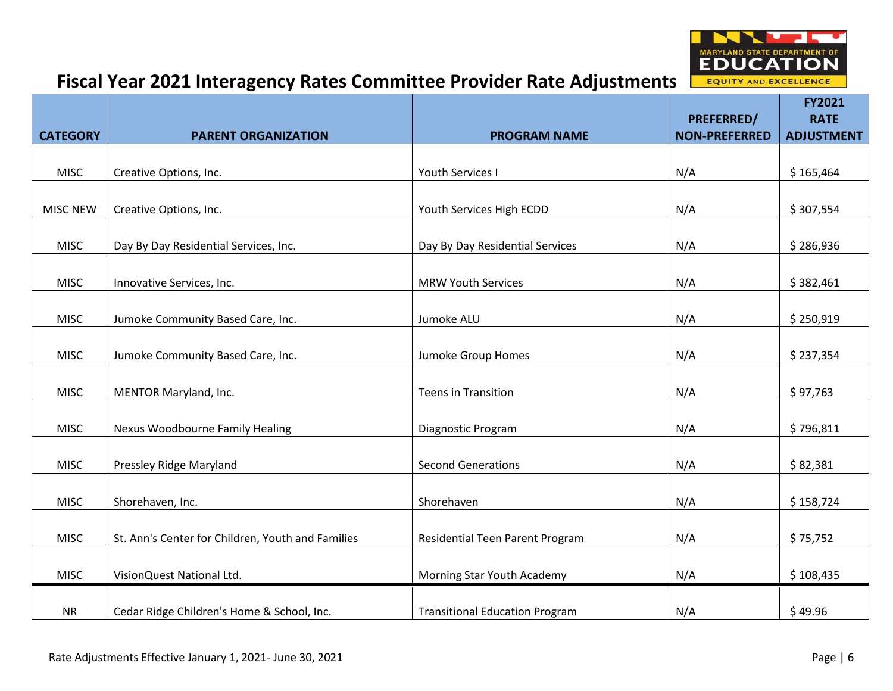

|                 |                                                   |                                       | PREFERRED/           | FY2021<br><b>RATE</b> |
|-----------------|---------------------------------------------------|---------------------------------------|----------------------|-----------------------|
| <b>CATEGORY</b> | <b>PARENT ORGANIZATION</b>                        | <b>PROGRAM NAME</b>                   | <b>NON-PREFERRED</b> | <b>ADJUSTMENT</b>     |
|                 |                                                   |                                       |                      |                       |
| <b>MISC</b>     | Creative Options, Inc.                            | <b>Youth Services I</b>               | N/A                  | \$165,464             |
|                 |                                                   |                                       |                      |                       |
| <b>MISC NEW</b> | Creative Options, Inc.                            | Youth Services High ECDD              | N/A                  | \$307,554             |
|                 |                                                   |                                       |                      |                       |
| <b>MISC</b>     | Day By Day Residential Services, Inc.             | Day By Day Residential Services       | N/A                  | \$286,936             |
|                 |                                                   |                                       |                      |                       |
| <b>MISC</b>     | Innovative Services, Inc.                         | <b>MRW Youth Services</b>             | N/A                  | \$382,461             |
|                 |                                                   |                                       |                      |                       |
| <b>MISC</b>     | Jumoke Community Based Care, Inc.                 | Jumoke ALU                            | N/A                  | \$250,919             |
|                 |                                                   |                                       |                      |                       |
| <b>MISC</b>     | Jumoke Community Based Care, Inc.                 | Jumoke Group Homes                    | N/A                  | \$237,354             |
|                 |                                                   |                                       |                      |                       |
| <b>MISC</b>     | MENTOR Maryland, Inc.                             | <b>Teens in Transition</b>            | N/A                  | \$97,763              |
|                 |                                                   |                                       |                      |                       |
| <b>MISC</b>     | Nexus Woodbourne Family Healing                   | Diagnostic Program                    | N/A                  | \$796,811             |
|                 |                                                   |                                       |                      |                       |
| <b>MISC</b>     | Pressley Ridge Maryland                           | <b>Second Generations</b>             | N/A                  | \$82,381              |
| <b>MISC</b>     |                                                   | Shorehaven                            |                      |                       |
|                 | Shorehaven, Inc.                                  |                                       | N/A                  | \$158,724             |
| <b>MISC</b>     | St. Ann's Center for Children, Youth and Families | Residential Teen Parent Program       | N/A                  | \$75,752              |
|                 |                                                   |                                       |                      |                       |
| <b>MISC</b>     | VisionQuest National Ltd.                         | Morning Star Youth Academy            | N/A                  | \$108,435             |
|                 |                                                   |                                       |                      |                       |
| <b>NR</b>       | Cedar Ridge Children's Home & School, Inc.        | <b>Transitional Education Program</b> | N/A                  | \$49.96               |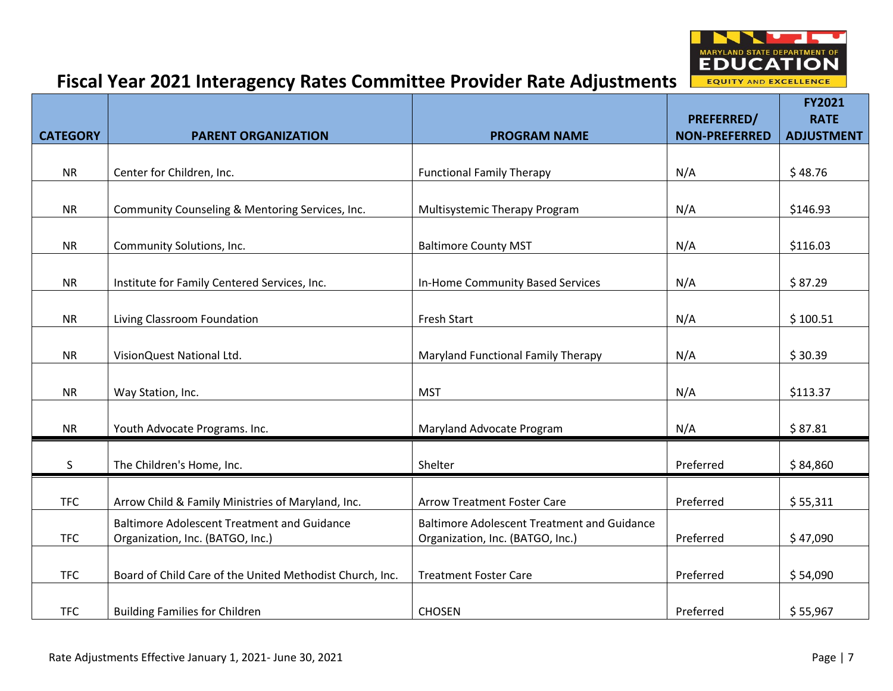

|                 |                                                          |                                                    |                                           | FY2021                           |
|-----------------|----------------------------------------------------------|----------------------------------------------------|-------------------------------------------|----------------------------------|
| <b>CATEGORY</b> | <b>PARENT ORGANIZATION</b>                               | <b>PROGRAM NAME</b>                                | <b>PREFERRED/</b><br><b>NON-PREFERRED</b> | <b>RATE</b><br><b>ADJUSTMENT</b> |
|                 |                                                          |                                                    |                                           |                                  |
| <b>NR</b>       | Center for Children, Inc.                                | <b>Functional Family Therapy</b>                   | N/A                                       | \$48.76                          |
|                 |                                                          |                                                    |                                           |                                  |
| <b>NR</b>       | Community Counseling & Mentoring Services, Inc.          | Multisystemic Therapy Program                      | N/A                                       | \$146.93                         |
| <b>NR</b>       | Community Solutions, Inc.                                | <b>Baltimore County MST</b>                        | N/A                                       | \$116.03                         |
| <b>NR</b>       | Institute for Family Centered Services, Inc.             | In-Home Community Based Services                   | N/A                                       | \$87.29                          |
| <b>NR</b>       | Living Classroom Foundation                              | Fresh Start                                        | N/A                                       | \$100.51                         |
| <b>NR</b>       | VisionQuest National Ltd.                                | Maryland Functional Family Therapy                 | N/A                                       | \$30.39                          |
|                 |                                                          |                                                    |                                           |                                  |
| <b>NR</b>       | Way Station, Inc.                                        | <b>MST</b>                                         | N/A                                       | \$113.37                         |
| <b>NR</b>       | Youth Advocate Programs. Inc.                            | Maryland Advocate Program                          | N/A                                       | \$87.81                          |
| S               | The Children's Home, Inc.                                | Shelter                                            | Preferred                                 | \$84,860                         |
| <b>TFC</b>      | Arrow Child & Family Ministries of Maryland, Inc.        | <b>Arrow Treatment Foster Care</b>                 | Preferred                                 | \$55,311                         |
|                 | <b>Baltimore Adolescent Treatment and Guidance</b>       | <b>Baltimore Adolescent Treatment and Guidance</b> |                                           |                                  |
| <b>TFC</b>      | Organization, Inc. (BATGO, Inc.)                         | Organization, Inc. (BATGO, Inc.)                   | Preferred                                 | \$47,090                         |
| <b>TFC</b>      | Board of Child Care of the United Methodist Church, Inc. | <b>Treatment Foster Care</b>                       | Preferred                                 | \$54,090                         |
| <b>TFC</b>      | <b>Building Families for Children</b>                    | <b>CHOSEN</b>                                      | Preferred                                 | \$55,967                         |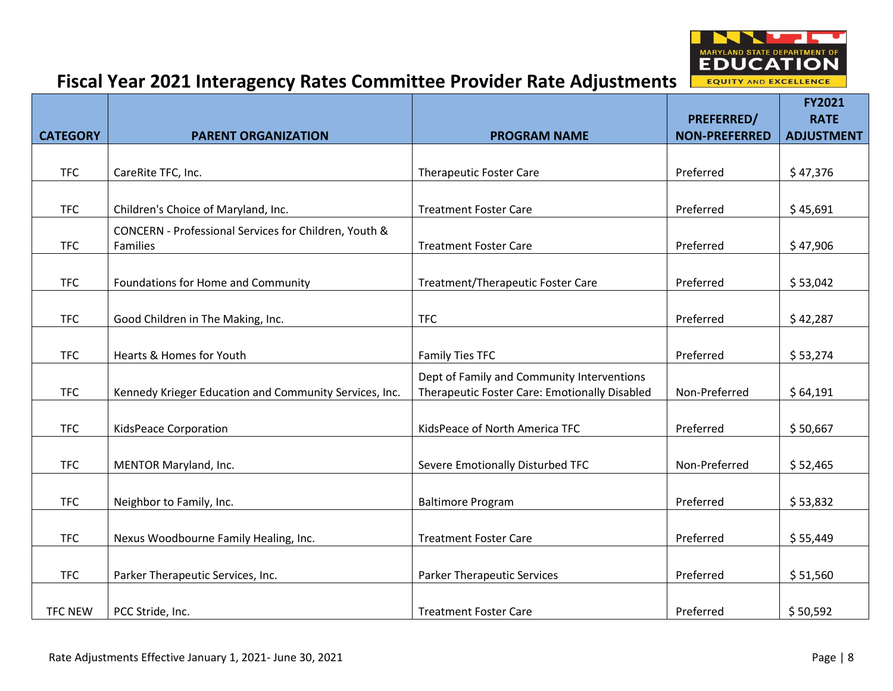

|                 |                                                                   |                                                                                             |                      | <b>FY2021</b>     |
|-----------------|-------------------------------------------------------------------|---------------------------------------------------------------------------------------------|----------------------|-------------------|
|                 |                                                                   |                                                                                             | <b>PREFERRED/</b>    | <b>RATE</b>       |
| <b>CATEGORY</b> | <b>PARENT ORGANIZATION</b>                                        | <b>PROGRAM NAME</b>                                                                         | <b>NON-PREFERRED</b> | <b>ADJUSTMENT</b> |
| <b>TFC</b>      | CareRite TFC, Inc.                                                | <b>Therapeutic Foster Care</b>                                                              | Preferred            | \$47,376          |
| <b>TFC</b>      | Children's Choice of Maryland, Inc.                               | <b>Treatment Foster Care</b>                                                                | Preferred            | \$45,691          |
| <b>TFC</b>      | CONCERN - Professional Services for Children, Youth &<br>Families | <b>Treatment Foster Care</b>                                                                | Preferred            | \$47,906          |
| <b>TFC</b>      | Foundations for Home and Community                                | Treatment/Therapeutic Foster Care                                                           | Preferred            | \$53,042          |
| <b>TFC</b>      | Good Children in The Making, Inc.                                 | <b>TFC</b>                                                                                  | Preferred            | \$42,287          |
| <b>TFC</b>      | Hearts & Homes for Youth                                          | Family Ties TFC                                                                             | Preferred            | \$53,274          |
| <b>TFC</b>      | Kennedy Krieger Education and Community Services, Inc.            | Dept of Family and Community Interventions<br>Therapeutic Foster Care: Emotionally Disabled | Non-Preferred        | \$64,191          |
| <b>TFC</b>      | KidsPeace Corporation                                             | KidsPeace of North America TFC                                                              | Preferred            | \$50,667          |
| <b>TFC</b>      | MENTOR Maryland, Inc.                                             | Severe Emotionally Disturbed TFC                                                            | Non-Preferred        | \$52,465          |
| <b>TFC</b>      | Neighbor to Family, Inc.                                          | <b>Baltimore Program</b>                                                                    | Preferred            | \$53,832          |
| <b>TFC</b>      | Nexus Woodbourne Family Healing, Inc.                             | <b>Treatment Foster Care</b>                                                                | Preferred            | \$55,449          |
| <b>TFC</b>      | Parker Therapeutic Services, Inc.                                 | <b>Parker Therapeutic Services</b>                                                          | Preferred            | \$51,560          |
| <b>TFC NEW</b>  | PCC Stride, Inc.                                                  | <b>Treatment Foster Care</b>                                                                | Preferred            | \$50,592          |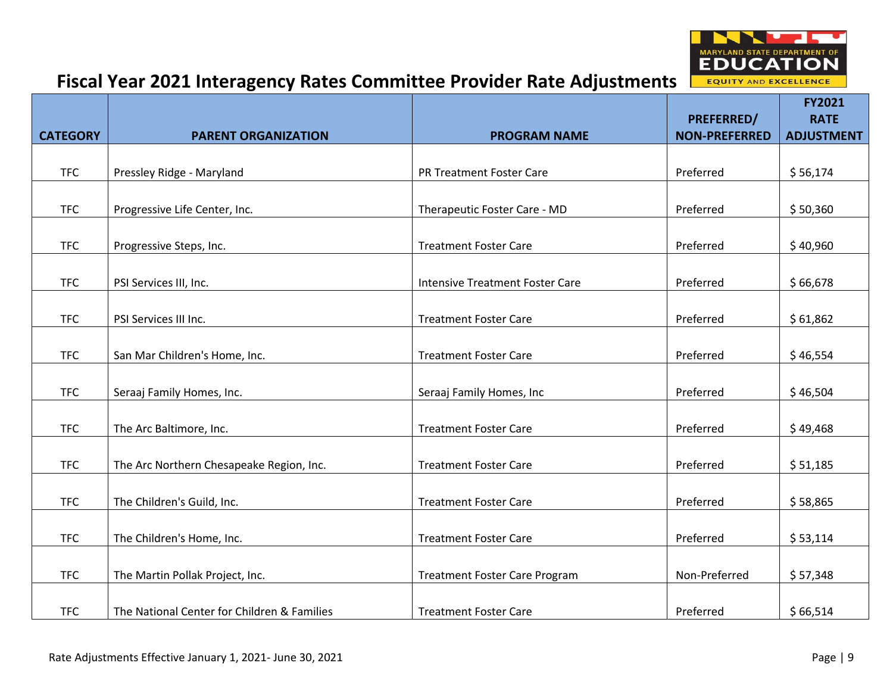

|                 |                                             |                                        |                                    | <b>FY2021</b>                    |
|-----------------|---------------------------------------------|----------------------------------------|------------------------------------|----------------------------------|
| <b>CATEGORY</b> | <b>PARENT ORGANIZATION</b>                  | <b>PROGRAM NAME</b>                    | PREFERRED/<br><b>NON-PREFERRED</b> | <b>RATE</b><br><b>ADJUSTMENT</b> |
|                 |                                             |                                        |                                    |                                  |
| <b>TFC</b>      | Pressley Ridge - Maryland                   | PR Treatment Foster Care               | Preferred                          | \$56,174                         |
| <b>TFC</b>      | Progressive Life Center, Inc.               | Therapeutic Foster Care - MD           | Preferred                          | \$50,360                         |
| <b>TFC</b>      |                                             | <b>Treatment Foster Care</b>           | Preferred                          | \$40,960                         |
|                 | Progressive Steps, Inc.                     |                                        |                                    |                                  |
| <b>TFC</b>      | PSI Services III, Inc.                      | <b>Intensive Treatment Foster Care</b> | Preferred                          | \$66,678                         |
|                 |                                             |                                        |                                    |                                  |
| <b>TFC</b>      | PSI Services III Inc.                       | <b>Treatment Foster Care</b>           | Preferred                          | \$61,862                         |
| <b>TFC</b>      | San Mar Children's Home, Inc.               | <b>Treatment Foster Care</b>           | Preferred                          | \$46,554                         |
| <b>TFC</b>      | Seraaj Family Homes, Inc.                   | Seraaj Family Homes, Inc               | Preferred                          | \$46,504                         |
|                 |                                             |                                        |                                    |                                  |
| <b>TFC</b>      | The Arc Baltimore, Inc.                     | <b>Treatment Foster Care</b>           | Preferred                          | \$49,468                         |
| <b>TFC</b>      | The Arc Northern Chesapeake Region, Inc.    | <b>Treatment Foster Care</b>           | Preferred                          | \$51,185                         |
|                 |                                             |                                        |                                    |                                  |
| <b>TFC</b>      | The Children's Guild, Inc.                  | <b>Treatment Foster Care</b>           | Preferred                          | \$58,865                         |
|                 |                                             |                                        |                                    |                                  |
| <b>TFC</b>      | The Children's Home, Inc.                   | <b>Treatment Foster Care</b>           | Preferred                          | \$53,114                         |
| <b>TFC</b>      | The Martin Pollak Project, Inc.             | <b>Treatment Foster Care Program</b>   | Non-Preferred                      | \$57,348                         |
| <b>TFC</b>      | The National Center for Children & Families | <b>Treatment Foster Care</b>           | Preferred                          | \$66,514                         |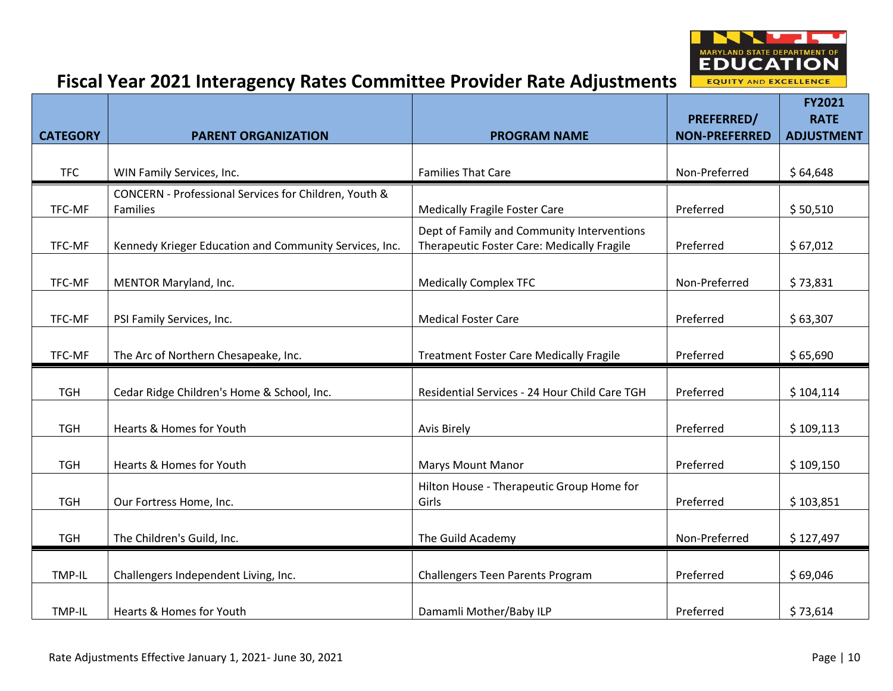

|                 |                                                        |                                                                                          |                                    | <b>FY2021</b>                    |
|-----------------|--------------------------------------------------------|------------------------------------------------------------------------------------------|------------------------------------|----------------------------------|
| <b>CATEGORY</b> | <b>PARENT ORGANIZATION</b>                             | <b>PROGRAM NAME</b>                                                                      | PREFERRED/<br><b>NON-PREFERRED</b> | <b>RATE</b><br><b>ADJUSTMENT</b> |
|                 |                                                        |                                                                                          |                                    |                                  |
| <b>TFC</b>      | WIN Family Services, Inc.                              | <b>Families That Care</b>                                                                | Non-Preferred                      | \$64,648                         |
|                 | CONCERN - Professional Services for Children, Youth &  |                                                                                          |                                    |                                  |
| TFC-MF          | Families                                               | <b>Medically Fragile Foster Care</b>                                                     | Preferred                          | \$50,510                         |
| TFC-MF          | Kennedy Krieger Education and Community Services, Inc. | Dept of Family and Community Interventions<br>Therapeutic Foster Care: Medically Fragile | Preferred                          | \$67,012                         |
| TFC-MF          | MENTOR Maryland, Inc.                                  | <b>Medically Complex TFC</b>                                                             | Non-Preferred                      | \$73,831                         |
|                 |                                                        |                                                                                          |                                    |                                  |
| TFC-MF          | PSI Family Services, Inc.                              | <b>Medical Foster Care</b>                                                               | Preferred                          | \$63,307                         |
|                 |                                                        |                                                                                          |                                    |                                  |
| TFC-MF          | The Arc of Northern Chesapeake, Inc.                   | <b>Treatment Foster Care Medically Fragile</b>                                           | Preferred                          | \$65,690                         |
| <b>TGH</b>      | Cedar Ridge Children's Home & School, Inc.             | Residential Services - 24 Hour Child Care TGH                                            | Preferred                          | \$104,114                        |
|                 |                                                        |                                                                                          |                                    |                                  |
| <b>TGH</b>      | Hearts & Homes for Youth                               | <b>Avis Birely</b>                                                                       | Preferred                          | \$109,113                        |
| <b>TGH</b>      | Hearts & Homes for Youth                               | <b>Marys Mount Manor</b>                                                                 | Preferred                          | \$109,150                        |
| <b>TGH</b>      | Our Fortress Home, Inc.                                | Hilton House - Therapeutic Group Home for<br>Girls                                       | Preferred                          | \$103,851                        |
|                 |                                                        |                                                                                          |                                    |                                  |
| <b>TGH</b>      | The Children's Guild, Inc.                             | The Guild Academy                                                                        | Non-Preferred                      | \$127,497                        |
| TMP-IL          | Challengers Independent Living, Inc.                   | Challengers Teen Parents Program                                                         | Preferred                          | \$69,046                         |
|                 |                                                        |                                                                                          |                                    |                                  |
| TMP-IL          | Hearts & Homes for Youth                               | Damamli Mother/Baby ILP                                                                  | Preferred                          | \$73,614                         |